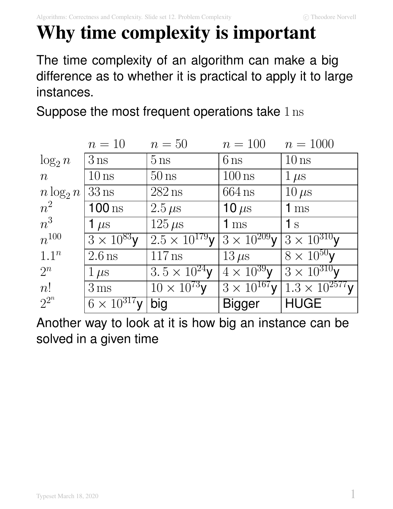# **Why time complexity is important**

The time complexity of an algorithm can make a big difference as to whether it is practical to apply it to large instances.

Suppose the most frequent operations take 1 ns

|                | $n=10$                | $n=50$                         | $n = 100$             | $n = 1000$                                                                              |
|----------------|-----------------------|--------------------------------|-----------------------|-----------------------------------------------------------------------------------------|
| $\log_2 n$     | $3$ ns                | $5 \,\mathrm{ns}$              | $6 \text{ ns}$        | $10 \text{ ns}$                                                                         |
| $\overline{n}$ | $10 \text{ ns}$       | $50 \text{ ns}$                | $100 \text{ ns}$      | $1 \,\mu s$                                                                             |
| $n \log_2 n$   | $33$ ns               | $282$ ns                       | $664$ ns              | $10 \,\mu s$                                                                            |
| $n^2$          | $100 \text{ ns}$      | $2.5 \,\mu s$                  | 10 $\mu$ s            | 1 <sub>ms</sub>                                                                         |
| $n^3$          | 1 $\mu$ s             | $125 \,\mu s$                  | 1 <sub>ms</sub>       | $\mathbf{1}$ s                                                                          |
| $n^{100}$      | $3 \times 10^{83}$ y  | $2.5 \times \sqrt{10^{179}}$ y | $3 \times 10^{209}$ V | $ 3\times10^{310}$ y                                                                    |
| $1.1^n$        | $2.6$ ns              | $117$ ns                       | $13 \,\mu s$          | $8 \times 10^{50}$ y                                                                    |
| $2^n$          | $1 \,\mu s$           | $3.5 \times 10^{24}$ y         | $4 \times 10^{39}$ y  | $\sqrt{3\times10^{310}}$ y                                                              |
| n!             | $3 \,\mathrm{ms}$     | $10 \times 10^{73}$ y          |                       | $3 \times 10^{167}$ y $\left  \frac{1.3 \times 10^{2577}}{1.3 \times 10^{257}} \right $ |
| $2^{2^n}$      | $6 \times 10^{317}$ V | big                            | <b>Bigger</b>         | <b>HUGE</b>                                                                             |

Another way to look at it is how big an instance can be solved in a given time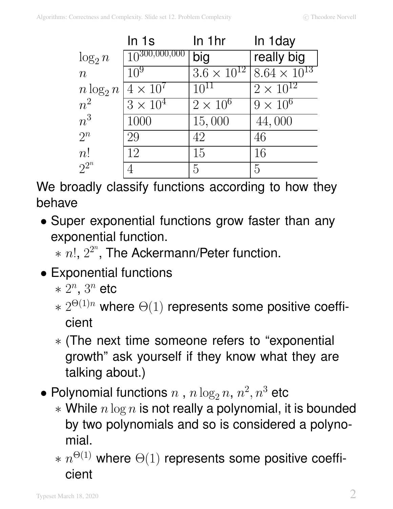|                | In 1s              | In 1hr               | In 1 day              |
|----------------|--------------------|----------------------|-----------------------|
| $\log_2 n$     | $10^{300,000,000}$ | big                  | really big            |
| $\overline{n}$ | $10^{9}$           | $3.6 \times 10^{12}$ | $8.64 \times 10^{13}$ |
| $n \log_2 n$   | $4 \times 10^7$    | $10^{11}$            | $2 \times 10^{12}$    |
| $n^2$          | $3\times10^4$      | $2 \times 10^6$      | $9 \times 10^6$       |
| $n^3$          | 1000               | 15,000               | 44,000                |
| $2^n$          | 29                 | 42                   | 46                    |
| n!             | 12                 | 15                   | 16                    |
| $2^{2^n}$      |                    | 5                    | 5                     |

We broadly classify functions according to how they behave

- Super exponential functions grow faster than any exponential function.
	- $*$   $n!$ ,  $2^{2^n}$ , The Ackermann/Peter function.
- Exponential functions
	- $* 2^n$ ,  $3^n$  etc
	- $* 2^{\Theta(1)n}$  where  $\Theta(1)$  represents some positive coefficient
	- ∗ (The next time someone refers to "exponential growth" ask yourself if they know what they are talking about.)
- $\bullet$  Polynomial functions  $n$  ,  $n\log_2 n,$   $n^2,$   $n^3$  etc
	- $*$  While  $n \log n$  is not really a polynomial, it is bounded by two polynomials and so is considered a polynomial.
	- $* \; n^{\Theta(1)}$  where  $\Theta(1)$  represents some positive coefficient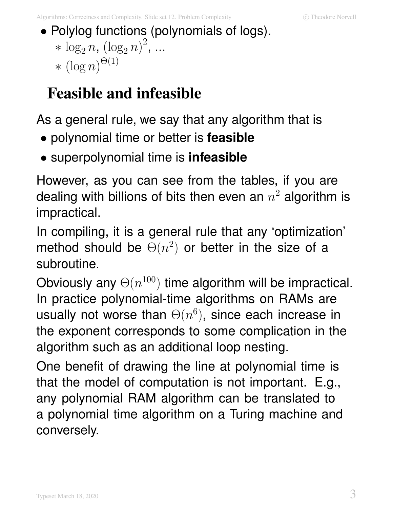• Polylog functions (polynomials of logs). \*  $\log_2 n, (\log_2 n)^2, ...$  $*(\log n)^{\Theta(1)}$ 

### **Feasible and infeasible**

As a general rule, we say that any algorithm that is

- polynomial time or better is **feasible**
- superpolynomial time is **infeasible**

However, as you can see from the tables, if you are dealing with billions of bits then even an  $n^2$  algorithm is impractical.

In compiling, it is a general rule that any 'optimization' method should be  $\Theta(n^2)$  or better in the size of a subroutine.

Obviously any  $\Theta(n^{100})$  time algorithm will be impractical. In practice polynomial-time algorithms on RAMs are usually not worse than  $\Theta(n^6)$ , since each increase in the exponent corresponds to some complication in the algorithm such as an additional loop nesting.

One benefit of drawing the line at polynomial time is that the model of computation is not important. E.g., any polynomial RAM algorithm can be translated to a polynomial time algorithm on a Turing machine and conversely.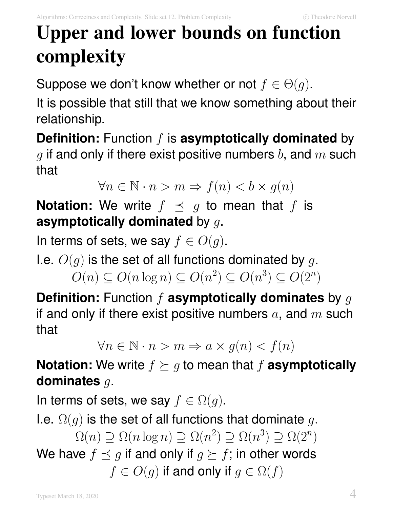## **Upper and lower bounds on function complexity**

Suppose we don't know whether or not  $f \in \Theta(g)$ .

It is possible that still that we know something about their relationship.

**Definition:** Function f is **asymptotically dominated** by g if and only if there exist positive numbers b, and  $m$  such that

$$
\forall n \in \mathbb{N} \cdot n > m \Rightarrow f(n) < b \times g(n)
$$

**Notation:** We write  $f \preceq g$  to mean that f is **asymptotically dominated** by g.

In terms of sets, we say  $f \in O(g)$ .

I.e.  $O(q)$  is the set of all functions dominated by q.

 $O(n) \subseteq O(n \log n) \subseteq O(n^2) \subseteq O(n^3) \subseteq O(2^n)$ 

**Definition:** Function f **asymptotically dominates** by g if and only if there exist positive numbers  $a$ , and  $m$  such that

$$
\forall n \in \mathbb{N} \cdot n > m \Rightarrow a \times g(n) < f(n)
$$

**Notation:** We write  $f \succeq g$  to mean that f **asymptotically dominates** g.

In terms of sets, we say  $f \in \Omega(g)$ .

I.e.  $\Omega(q)$  is the set of all functions that dominate g.  $\Omega(n) \supseteq \Omega(n \log n) \supseteq \Omega(n^2) \supseteq \Omega(n^3) \supseteq \Omega(2^n)$ We have  $f \preceq g$  if and only if  $g \succeq f$ ; in other words  $f \in O(g)$  if and only if  $g \in \Omega(f)$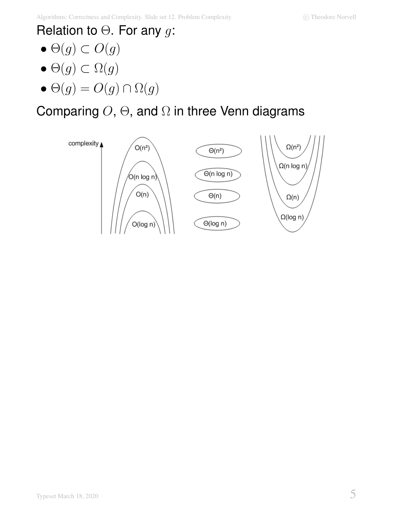### Relation to  $\Theta$ . For any g:

- $\Theta(g) \subset O(g)$
- $\bullet$   $\Theta(g) \subset \Omega(g)$
- $\Theta(g) = O(g) \cap \Omega(g)$

### Comparing  $O$ ,  $\Theta$ , and  $\Omega$  in three Venn diagrams

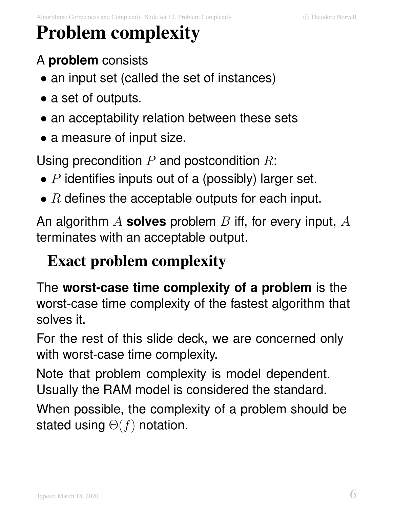## **Problem complexity**

### A **problem** consists

• an input set (called the set of instances)

- a set of outputs.
- an acceptability relation between these sets
- a measure of input size.

Using precondition  $P$  and postcondition  $R$ :

- $P$  identifies inputs out of a (possibly) larger set.
- $R$  defines the acceptable outputs for each input.

An algorithm A **solves** problem B iff, for every input, A terminates with an acceptable output.

### **Exact problem complexity**

The **worst-case time complexity of a problem** is the worst-case time complexity of the fastest algorithm that solves it.

For the rest of this slide deck, we are concerned only with worst-case time complexity.

Note that problem complexity is model dependent. Usually the RAM model is considered the standard.

When possible, the complexity of a problem should be stated using  $\Theta(f)$  notation.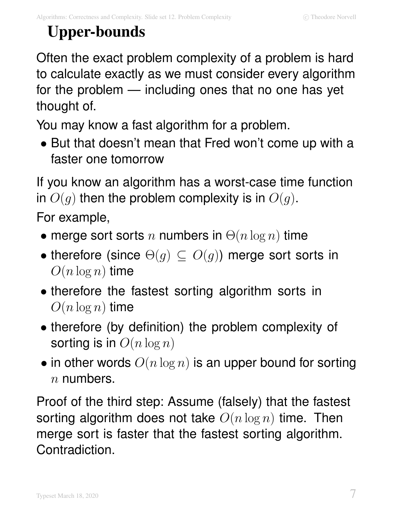## **Upper-bounds**

Often the exact problem complexity of a problem is hard to calculate exactly as we must consider every algorithm for the problem — including ones that no one has yet thought of.

You may know a fast algorithm for a problem.

• But that doesn't mean that Fred won't come up with a faster one tomorrow

If you know an algorithm has a worst-case time function in  $O(g)$  then the problem complexity is in  $O(g)$ .

For example,

- merge sort sorts n numbers in  $\Theta(n \log n)$  time
- therefore (since  $\Theta(q) \subseteq O(q)$ ) merge sort sorts in  $O(n \log n)$  time
- therefore the fastest sorting algorithm sorts in  $O(n \log n)$  time
- therefore (by definition) the problem complexity of sorting is in  $O(n \log n)$
- in other words  $O(n \log n)$  is an upper bound for sorting  $n$  numbers.

Proof of the third step: Assume (falsely) that the fastest sorting algorithm does not take  $O(n \log n)$  time. Then merge sort is faster that the fastest sorting algorithm. Contradiction.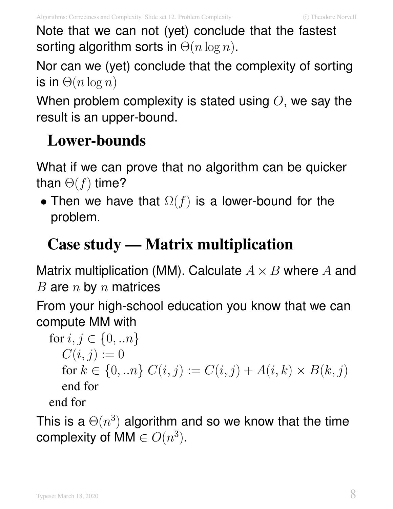Note that we can not (yet) conclude that the fastest sorting algorithm sorts in  $\Theta(n \log n)$ .

Nor can we (yet) conclude that the complexity of sorting is in  $\Theta(n \log n)$ 

When problem complexity is stated using  $O$ , we say the result is an upper-bound.

### **Lower-bounds**

What if we can prove that no algorithm can be quicker than  $\Theta(f)$  time?

• Then we have that  $\Omega(f)$  is a lower-bound for the problem.

## **Case study — Matrix multiplication**

Matrix multiplication (MM). Calculate  $A \times B$  where A and  $B$  are  $n$  by  $n$  matrices

From your high-school education you know that we can compute MM with

for  $i, j \in \{0, ...n\}$  $C(i, j) := 0$ for  $k \in \{0, ...n\}$   $C(i, j) := C(i, j) + A(i, k) \times B(k, j)$ end for end for

This is a  $\Theta(n^3)$  algorithm and so we know that the time complexity of MM  $\in O(n^3)$ .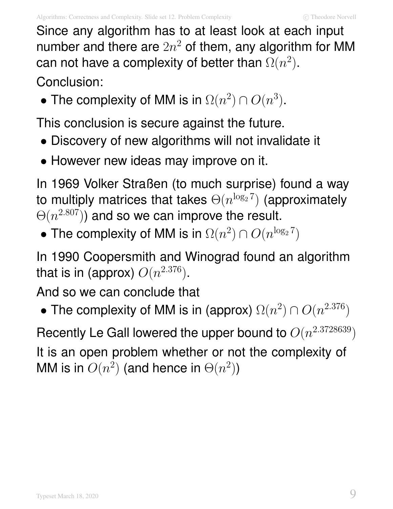Since any algorithm has to at least look at each input number and there are  $2n^2$  of them, any algorithm for MM can not have a complexity of better than  $\Omega(n^2)$ .

Conclusion:

• The complexity of MM is in  $\Omega(n^2) \cap O(n^3)$ .

This conclusion is secure against the future.

- Discovery of new algorithms will not invalidate it
- However new ideas may improve on it.

In 1969 Volker Straßen (to much surprise) found a way to multiply matrices that takes  $\Theta(n^{\log_2 7})$  (approximately  $\Theta(n^{2.807})$ ) and so we can improve the result.

• The complexity of MM is in  $\Omega(n^2) \cap O(n^{\log_2 7})$ 

In 1990 Coopersmith and Winograd found an algorithm that is in (approx)  $O(n^{2.376})$ .

And so we can conclude that

• The complexity of MM is in (approx)  $\Omega(n^2) \cap O(n^{2.376})$ 

Recently Le Gall lowered the upper bound to  $O(n^{2.3728639})$ It is an open problem whether or not the complexity of MM is in  $O(n^2)$  (and hence in  $\Theta(n^2)$ )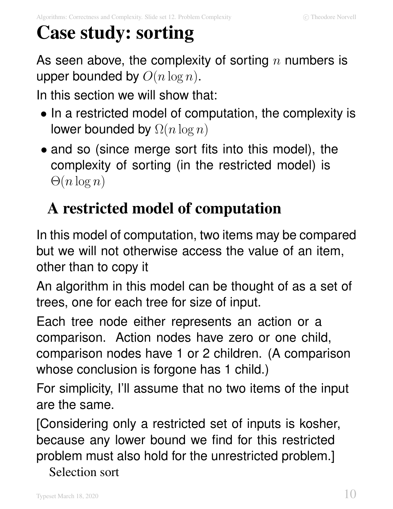## **Case study: sorting**

As seen above, the complexity of sorting  $n$  numbers is upper bounded by  $O(n \log n)$ .

In this section we will show that:

- In a restricted model of computation, the complexity is lower bounded by  $\Omega(n \log n)$
- and so (since merge sort fits into this model), the complexity of sorting (in the restricted model) is  $\Theta(n \log n)$

## **A restricted model of computation**

In this model of computation, two items may be compared but we will not otherwise access the value of an item, other than to copy it

An algorithm in this model can be thought of as a set of trees, one for each tree for size of input.

Each tree node either represents an action or a comparison. Action nodes have zero or one child, comparison nodes have 1 or 2 children. (A comparison whose conclusion is forgone has 1 child.)

For simplicity, I'll assume that no two items of the input are the same.

[Considering only a restricted set of inputs is kosher, because any lower bound we find for this restricted problem must also hold for the unrestricted problem.]

Selection sort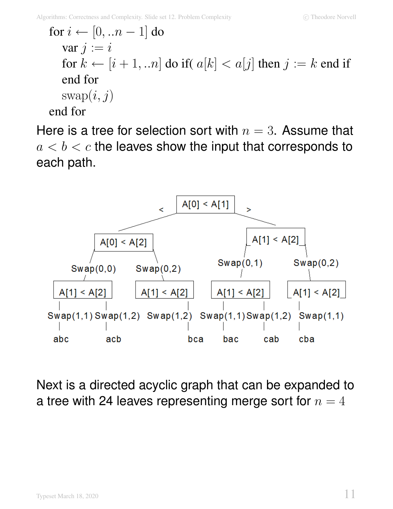for  $i \leftarrow [0, ...n-1]$  do var  $j := i$ for  $k \leftarrow [i + 1, ...n]$  do if  $a[k] < a[j]$  then  $j := k$  end if end for  $swap(i, j)$ end for

Here is a tree for selection sort with  $n=3$ . Assume that  $a < b < c$  the leaves show the input that corresponds to each path.



Next is a directed acyclic graph that can be expanded to a tree with 24 leaves representing merge sort for  $n=4$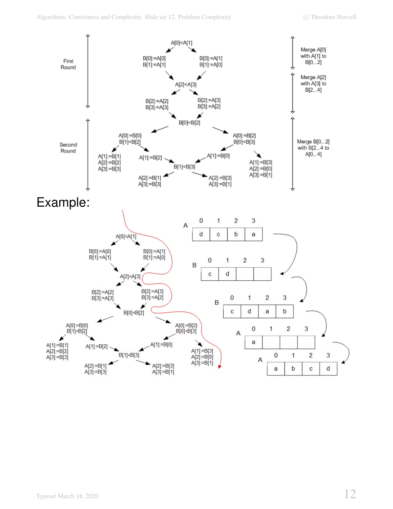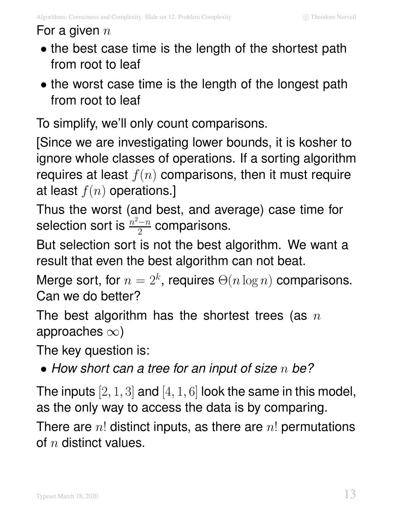#### For a given  $n$

- the best case time is the length of the shortest path from root to leaf
- the worst case time is the length of the longest path from root to leaf

To simplify, we'll only count comparisons.

[Since we are investigating lower bounds, it is kosher to ignore whole classes of operations. If a sorting algorithm requires at least  $f(n)$  comparisons, then it must require at least  $f(n)$  operations.]

Thus the worst (and best, and average) case time for selection sort is  $\frac{n^2-n}{2}$  $\frac{-n}{2}$  comparisons.

But selection sort is not the best algorithm. We want a result that even the best algorithm can not beat.

Merge sort, for  $n = 2^k$ , requires  $\Theta(n \log n)$  comparisons. Can we do better?

The best algorithm has the shortest trees (as  $n$ approaches  $\infty$ )

The key question is:

• How short can a tree for an input of size  $n$  be?

The inputs  $[2, 1, 3]$  and  $[4, 1, 6]$  look the same in this model, as the only way to access the data is by comparing.

There are  $n!$  distinct inputs, as there are  $n!$  permutations of  $n$  distinct values.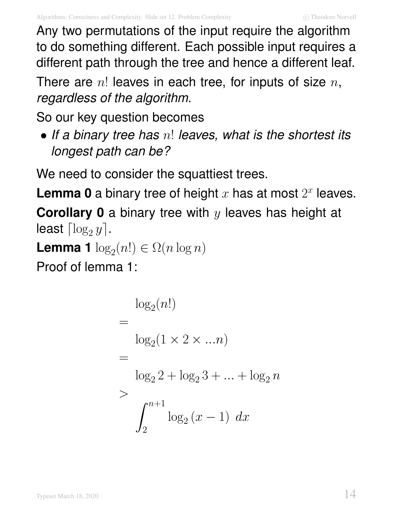Any two permutations of the input require the algorithm to do something different. Each possible input requires a different path through the tree and hence a different leaf.

There are  $n!$  leaves in each tree, for inputs of size  $n$ , regardless of the algorithm.

So our key question becomes

• If a binary tree has  $n!$  leaves, what is the shortest its longest path can be?

We need to consider the squattiest trees.

**Lemma 0** a binary tree of height  $x$  has at most  $2^x$  leaves.

**Corollary 0** a binary tree with y leaves has height at least  $\lceil \log_2 y \rceil$ .

**Lemma 1**  $\log_2(n!) \in \Omega(n \log n)$ 

Proof of lemma 1:

$$
= \log_2(n!) \n= \log_2(1 \times 2 \times ... n) \n= \log_2 2 + \log_2 3 + ... + \log_2 n \n> \int_2^{n+1} \log_2 (x - 1) dx
$$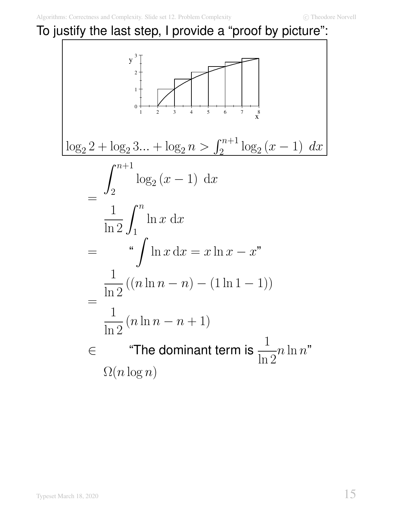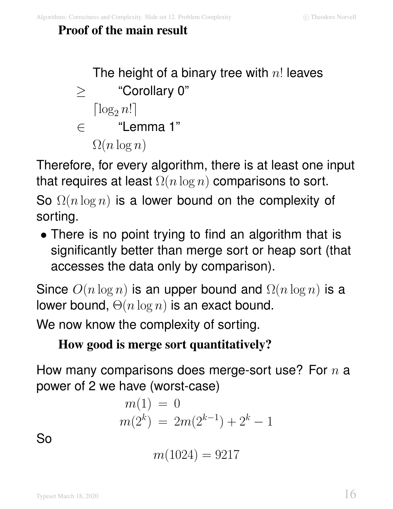#### **Proof of the main result**

\n- The height of a binary tree with *n*! leaves
\n- ≤ "Corollary 0"
\n- [log<sub>2</sub> *n*!]
\n- ∈ "Lemma 1"
\n- $$
\Omega(n \log n)
$$
\n

Therefore, for every algorithm, there is at least one input that requires at least  $\Omega(n \log n)$  comparisons to sort.

So  $\Omega(n \log n)$  is a lower bound on the complexity of sorting.

• There is no point trying to find an algorithm that is significantly better than merge sort or heap sort (that accesses the data only by comparison).

Since  $O(n \log n)$  is an upper bound and  $\Omega(n \log n)$  is a lower bound,  $\Theta(n \log n)$  is an exact bound.

We now know the complexity of sorting.

#### **How good is merge sort quantitatively?**

How many comparisons does merge-sort use? For  $n$  a power of 2 we have (worst-case)

$$
m(1) = 0
$$
  

$$
m(2k) = 2m(2k-1) + 2k - 1
$$

So

$$
m(1024) = 9217
$$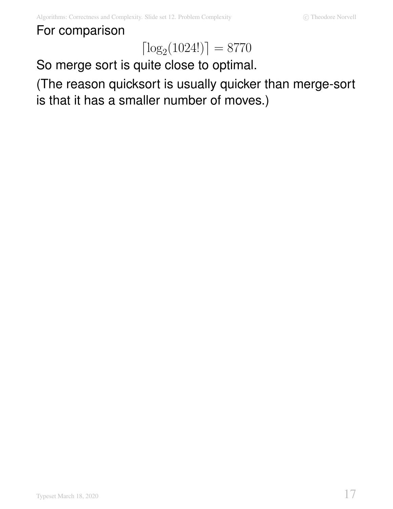#### For comparison

## $\lceil \log_2(1024!) \rceil = 8770$

So merge sort is quite close to optimal.

(The reason quicksort is usually quicker than merge-sort is that it has a smaller number of moves.)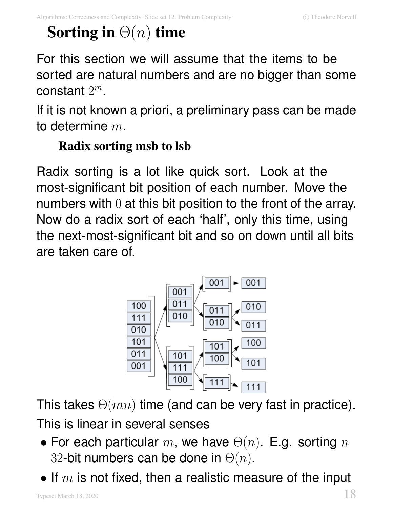## **Sorting in** Θ(n) **time**

For this section we will assume that the items to be sorted are natural numbers and are no bigger than some constant  $2^m$ .

If it is not known a priori, a preliminary pass can be made to determine  $m$ .

### **Radix sorting msb to lsb**

Radix sorting is a lot like quick sort. Look at the most-significant bit position of each number. Move the numbers with 0 at this bit position to the front of the array. Now do a radix sort of each 'half', only this time, using the next-most-significant bit and so on down until all bits are taken care of.



This takes  $\Theta(mn)$  time (and can be very fast in practice). This is linear in several senses

- For each particular m, we have  $\Theta(n)$ . E.g. sorting n 32-bit numbers can be done in  $\Theta(n)$ .
- If  $m$  is not fixed, then a realistic measure of the input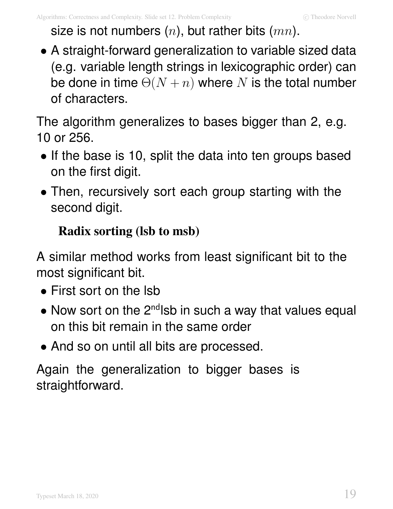size is not numbers  $(n)$ , but rather bits  $(mn)$ .

• A straight-forward generalization to variable sized data (e.g. variable length strings in lexicographic order) can be done in time  $\Theta(N + n)$  where N is the total number of characters.

The algorithm generalizes to bases bigger than 2, e.g. 10 or 256.

- If the base is 10, split the data into ten groups based on the first digit.
- Then, recursively sort each group starting with the second digit.

### **Radix sorting (lsb to msb)**

A similar method works from least significant bit to the most significant bit.

- First sort on the lsb
- Now sort on the  $2^{nd}$ lsb in such a way that values equal on this bit remain in the same order
- And so on until all bits are processed.

Again the generalization to bigger bases is straightforward.